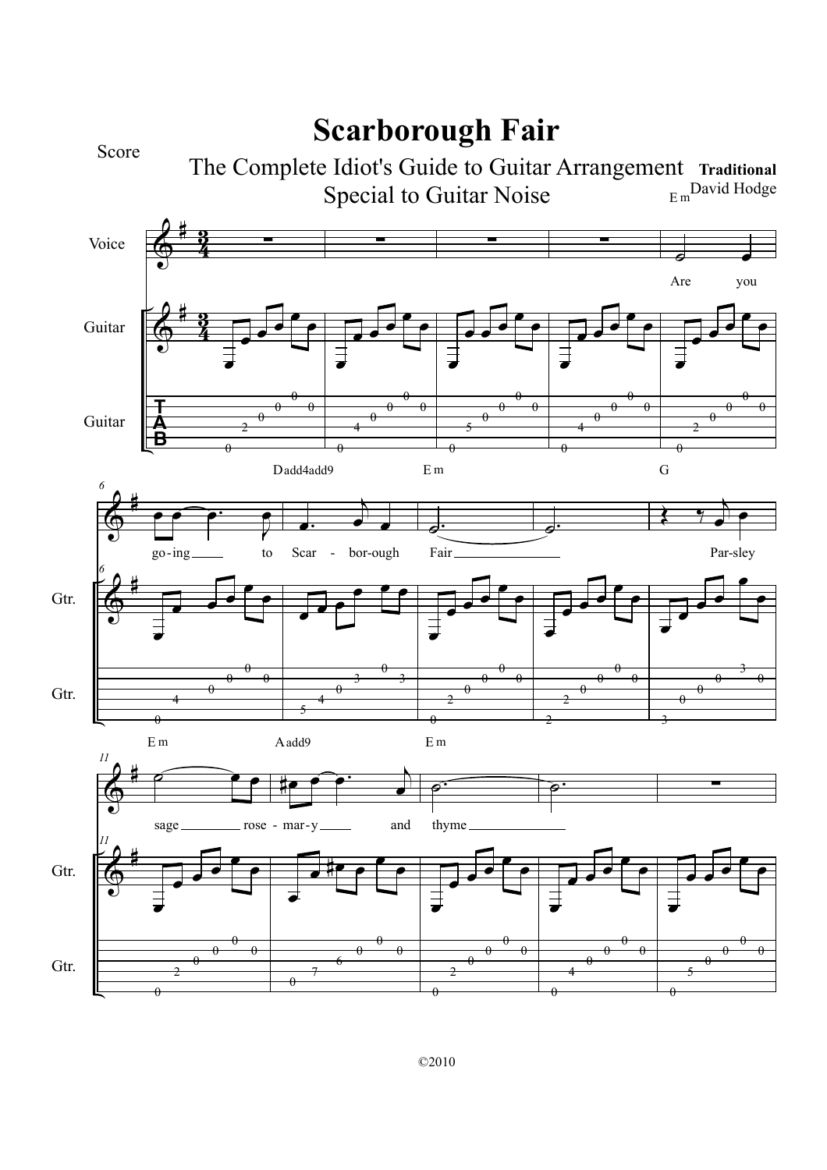

## **Scarborough Fair**

 $E<sub>m</sub>$ David Hodge The Complete Idiot's Guide to Guitar Arrangement Traditional Special to Guitar Noise